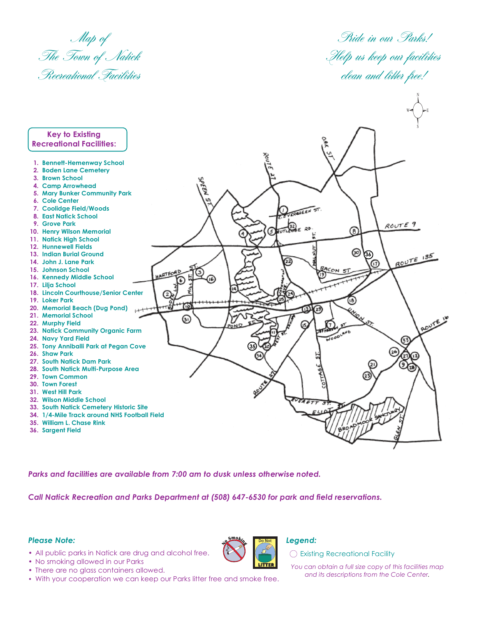Map of The Town of Natick Recreational Facilities

Pride in our Parks! Help us keep our facilities clean and litter free!



Parks and facilities are available from 7:00 am to dusk unless otherwise noted.

Call Natick Recreation and Parks Department at (508) 647-6530 for park and field reservations.

## **Please Note:**

• All public parks in Natick are drug and alcohol free.

• No smoking allowed in our Parks



## Legend:

◯ Existing Recreational Facility

- You can obtain a full size copy of this facilities map and its descriptions from the Cole Center.
- There are no glass containers allowed. • With your cooperation we can keep our Parks litter free and smoke free.